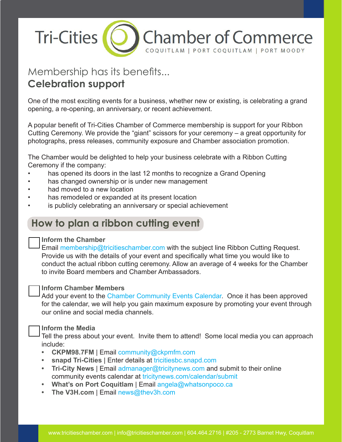

# Membership has its benefits... **Celebration support**

One of the most exciting events for a business, whether new or existing, is celebrating a grand opening, a re-opening, an anniversary, or recent achievement.

A popular benefit of Tri-Cities Chamber of Commerce membership is support for your Ribbon Cutting Ceremony. We provide the "giant" scissors for your ceremony – a great opportunity for photographs, press releases, community exposure and Chamber association promotion.

The Chamber would be delighted to help your business celebrate with a Ribbon Cutting Ceremony if the company:

- has opened its doors in the last 12 months to recognize a Grand Opening
- has changed ownership or is under new management
- had moved to a new location
- has remodeled or expanded at its present location
- is publicly celebrating an anniversary or special achievement

### **How to plan a ribbon cutting event**

#### **Inform the Chamber**

Email membership@tricitieschamber.com with the subject line Ribbon Cutting Request. Provide us with the details of your event and specifically what time you would like to conduct the actual ribbon cutting ceremony. Allow an average of 4 weeks for the Chamber to invite Board members and Chamber Ambassadors.

#### **Inform Chamber Members**

Add your event to the Chamber Community Events Calendar. Once it has been approved for the calendar, we will help you gain maximum exposure by promoting your event through our online and social media channels.

#### **Inform the Media**

Tell the press about your event. Invite them to attend! Some local media you can approach include:

- **• CKPM98.7FM** | Email community@ckpmfm.com
- **• snapd Tri-Cities** | Enter details at tricitiesbc.snapd.com
- **• Tri-City News** | Email admanager@tricitynews.com and submit to their online community events calendar at tricitynews.com/calendar/submit
- **• What's on Port Coquitlam** | Email angela@whatsonpoco.ca
- **• The V3H.com** | Email news@thev3h.com